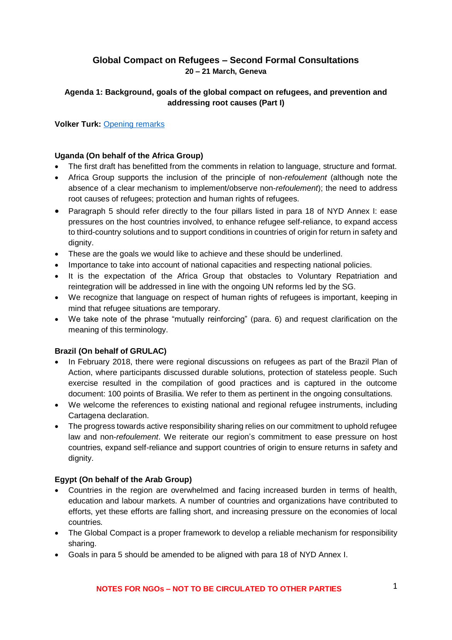# **Global Compact on Refugees – Second Formal Consultations 20 – 21 March, Geneva**

### **Agenda 1: Background, goals of the global compact on refugees, and prevention and addressing root causes (Part I)**

**Volker Turk:** [Opening remarks](goo.gl/GsJj8k)

#### **Uganda (On behalf of the Africa Group)**

- The first draft has benefitted from the comments in relation to language, structure and format.
- Africa Group supports the inclusion of the principle of non-*refoulement* (although note the absence of a clear mechanism to implement/observe non-*refoulement*); the need to address root causes of refugees; protection and human rights of refugees.
- Paragraph 5 should refer directly to the four pillars listed in para 18 of NYD Annex I: ease pressures on the host countries involved, to enhance refugee self-reliance, to expand access to third-country solutions and to support conditions in countries of origin for return in safety and dignity.
- These are the goals we would like to achieve and these should be underlined.
- Importance to take into account of national capacities and respecting national policies.
- It is the expectation of the Africa Group that obstacles to Voluntary Repatriation and reintegration will be addressed in line with the ongoing UN reforms led by the SG.
- We recognize that language on respect of human rights of refugees is important, keeping in mind that refugee situations are temporary.
- We take note of the phrase "mutually reinforcing" (para. 6) and request clarification on the meaning of this terminology.

#### **Brazil (On behalf of GRULAC)**

- In February 2018, there were regional discussions on refugees as part of the Brazil Plan of Action, where participants discussed durable solutions, protection of stateless people. Such exercise resulted in the compilation of good practices and is captured in the outcome document: 100 points of Brasilia. We refer to them as pertinent in the ongoing consultations.
- We welcome the references to existing national and regional refugee instruments, including Cartagena declaration.
- The progress towards active responsibility sharing relies on our commitment to uphold refugee law and non-*refoulement*. We reiterate our region's commitment to ease pressure on host countries, expand self-reliance and support countries of origin to ensure returns in safety and dignity.

#### **Egypt (On behalf of the Arab Group)**

- Countries in the region are overwhelmed and facing increased burden in terms of health, education and labour markets. A number of countries and organizations have contributed to efforts, yet these efforts are falling short, and increasing pressure on the economies of local countries.
- The Global Compact is a proper framework to develop a reliable mechanism for responsibility sharing.
- Goals in para 5 should be amended to be aligned with para 18 of NYD Annex I.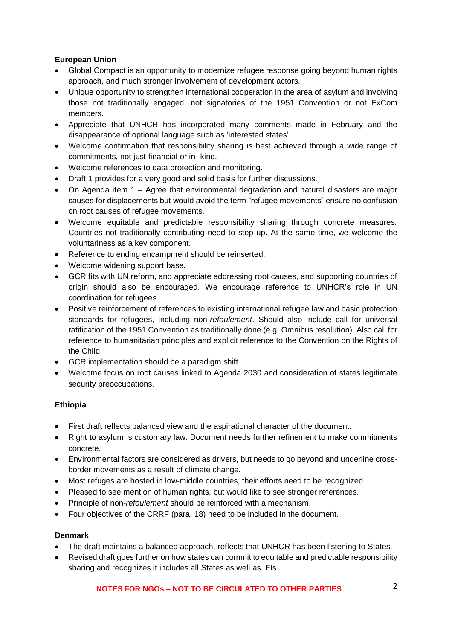# **European Union**

- Global Compact is an opportunity to modernize refugee response going beyond human rights approach, and much stronger involvement of development actors.
- Unique opportunity to strengthen international cooperation in the area of asylum and involving those not traditionally engaged, not signatories of the 1951 Convention or not ExCom members.
- Appreciate that UNHCR has incorporated many comments made in February and the disappearance of optional language such as 'interested states'.
- Welcome confirmation that responsibility sharing is best achieved through a wide range of commitments, not just financial or in -kind.
- Welcome references to data protection and monitoring.
- Draft 1 provides for a very good and solid basis for further discussions.
- On Agenda item 1 Agree that environmental degradation and natural disasters are major causes for displacements but would avoid the term "refugee movements" ensure no confusion on root causes of refugee movements.
- Welcome equitable and predictable responsibility sharing through concrete measures. Countries not traditionally contributing need to step up. At the same time, we welcome the voluntariness as a key component.
- Reference to ending encampment should be reinserted.
- Welcome widening support base.
- GCR fits with UN reform, and appreciate addressing root causes, and supporting countries of origin should also be encouraged. We encourage reference to UNHCR's role in UN coordination for refugees.
- Positive reinforcement of references to existing international refugee law and basic protection standards for refugees, including non-*refoulement*. Should also include call for universal ratification of the 1951 Convention as traditionally done (e.g. Omnibus resolution). Also call for reference to humanitarian principles and explicit reference to the Convention on the Rights of the Child.
- GCR implementation should be a paradigm shift.
- Welcome focus on root causes linked to Agenda 2030 and consideration of states legitimate security preoccupations.

#### **Ethiopia**

- First draft reflects balanced view and the aspirational character of the document.
- Right to asylum is customary law. Document needs further refinement to make commitments concrete.
- Environmental factors are considered as drivers, but needs to go beyond and underline crossborder movements as a result of climate change.
- Most refuges are hosted in low-middle countries, their efforts need to be recognized.
- Pleased to see mention of human rights, but would like to see stronger references.
- Principle of non-*refoulement* should be reinforced with a mechanism.
- Four objectives of the CRRF (para. 18) need to be included in the document.

#### **Denmark**

- The draft maintains a balanced approach, reflects that UNHCR has been listening to States.
- Revised draft goes further on how states can commit to equitable and predictable responsibility sharing and recognizes it includes all States as well as IFIs.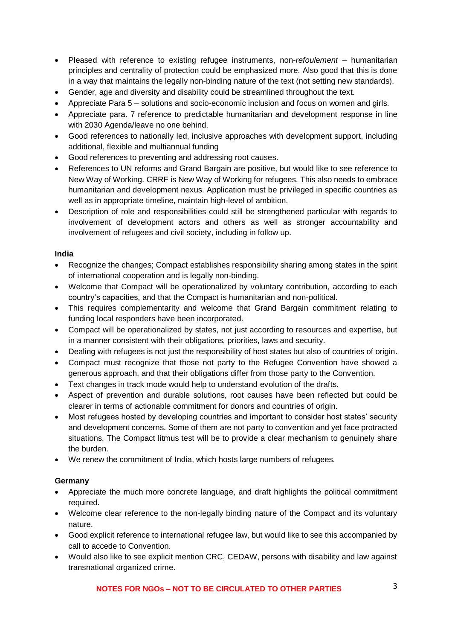- Pleased with reference to existing refugee instruments, non-*refoulement* humanitarian principles and centrality of protection could be emphasized more. Also good that this is done in a way that maintains the legally non-binding nature of the text (not setting new standards).
- Gender, age and diversity and disability could be streamlined throughout the text.
- Appreciate Para 5 solutions and socio-economic inclusion and focus on women and girls.
- Appreciate para. 7 reference to predictable humanitarian and development response in line with 2030 Agenda/leave no one behind.
- Good references to nationally led, inclusive approaches with development support, including additional, flexible and multiannual funding
- Good references to preventing and addressing root causes.
- References to UN reforms and Grand Bargain are positive, but would like to see reference to New Way of Working. CRRF is New Way of Working for refugees. This also needs to embrace humanitarian and development nexus. Application must be privileged in specific countries as well as in appropriate timeline, maintain high-level of ambition.
- Description of role and responsibilities could still be strengthened particular with regards to involvement of development actors and others as well as stronger accountability and involvement of refugees and civil society, including in follow up.

### **India**

- Recognize the changes; Compact establishes responsibility sharing among states in the spirit of international cooperation and is legally non-binding.
- Welcome that Compact will be operationalized by voluntary contribution, according to each country's capacities, and that the Compact is humanitarian and non-political.
- This requires complementarity and welcome that Grand Bargain commitment relating to funding local responders have been incorporated.
- Compact will be operationalized by states, not just according to resources and expertise, but in a manner consistent with their obligations, priorities, laws and security.
- Dealing with refugees is not just the responsibility of host states but also of countries of origin.
- Compact must recognize that those not party to the Refugee Convention have showed a generous approach, and that their obligations differ from those party to the Convention.
- Text changes in track mode would help to understand evolution of the drafts.
- Aspect of prevention and durable solutions, root causes have been reflected but could be clearer in terms of actionable commitment for donors and countries of origin.
- Most refugees hosted by developing countries and important to consider host states' security and development concerns. Some of them are not party to convention and yet face protracted situations. The Compact litmus test will be to provide a clear mechanism to genuinely share the burden.
- We renew the commitment of India, which hosts large numbers of refugees.

#### **Germany**

- Appreciate the much more concrete language, and draft highlights the political commitment required.
- Welcome clear reference to the non-legally binding nature of the Compact and its voluntary nature.
- Good explicit reference to international refugee law, but would like to see this accompanied by call to accede to Convention.
- Would also like to see explicit mention CRC, CEDAW, persons with disability and law against transnational organized crime.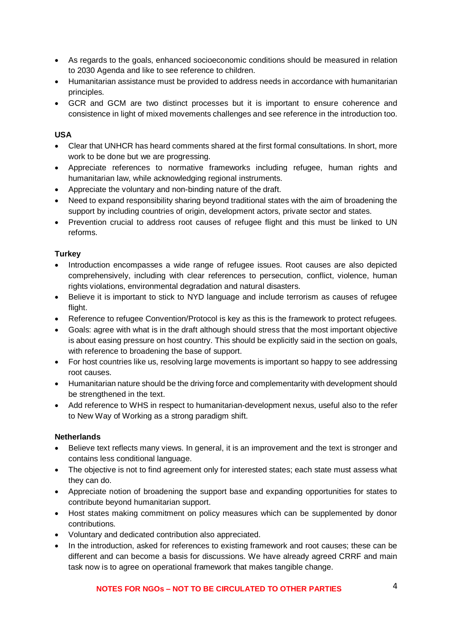- As regards to the goals, enhanced socioeconomic conditions should be measured in relation to 2030 Agenda and like to see reference to children.
- Humanitarian assistance must be provided to address needs in accordance with humanitarian principles.
- GCR and GCM are two distinct processes but it is important to ensure coherence and consistence in light of mixed movements challenges and see reference in the introduction too.

#### **USA**

- Clear that UNHCR has heard comments shared at the first formal consultations. In short, more work to be done but we are progressing.
- Appreciate references to normative frameworks including refugee, human rights and humanitarian law, while acknowledging regional instruments.
- Appreciate the voluntary and non-binding nature of the draft.
- Need to expand responsibility sharing beyond traditional states with the aim of broadening the support by including countries of origin, development actors, private sector and states.
- Prevention crucial to address root causes of refugee flight and this must be linked to UN reforms.

#### **Turkey**

- Introduction encompasses a wide range of refugee issues. Root causes are also depicted comprehensively, including with clear references to persecution, conflict, violence, human rights violations, environmental degradation and natural disasters.
- Believe it is important to stick to NYD language and include terrorism as causes of refugee flight.
- Reference to refugee Convention/Protocol is key as this is the framework to protect refugees.
- Goals: agree with what is in the draft although should stress that the most important objective is about easing pressure on host country. This should be explicitly said in the section on goals, with reference to broadening the base of support.
- For host countries like us, resolving large movements is important so happy to see addressing root causes.
- Humanitarian nature should be the driving force and complementarity with development should be strengthened in the text.
- Add reference to WHS in respect to humanitarian-development nexus, useful also to the refer to New Way of Working as a strong paradigm shift.

#### **Netherlands**

- Believe text reflects many views. In general, it is an improvement and the text is stronger and contains less conditional language.
- The objective is not to find agreement only for interested states; each state must assess what they can do.
- Appreciate notion of broadening the support base and expanding opportunities for states to contribute beyond humanitarian support.
- Host states making commitment on policy measures which can be supplemented by donor contributions.
- Voluntary and dedicated contribution also appreciated.
- In the introduction, asked for references to existing framework and root causes; these can be different and can become a basis for discussions. We have already agreed CRRF and main task now is to agree on operational framework that makes tangible change.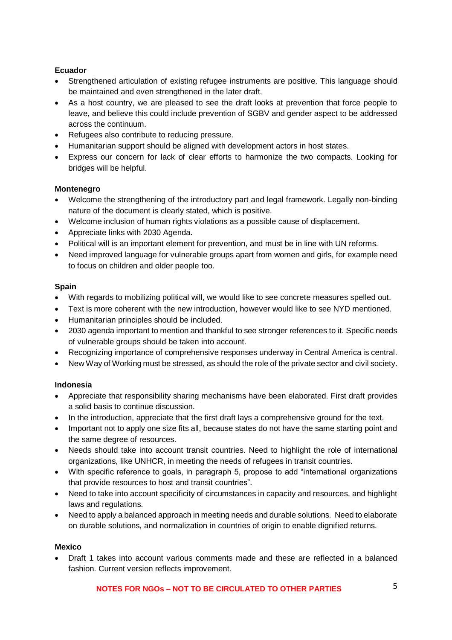#### **Ecuador**

- Strengthened articulation of existing refugee instruments are positive. This language should be maintained and even strengthened in the later draft.
- As a host country, we are pleased to see the draft looks at prevention that force people to leave, and believe this could include prevention of SGBV and gender aspect to be addressed across the continuum.
- Refugees also contribute to reducing pressure.
- Humanitarian support should be aligned with development actors in host states.
- Express our concern for lack of clear efforts to harmonize the two compacts. Looking for bridges will be helpful.

#### **Montenegro**

- Welcome the strengthening of the introductory part and legal framework. Legally non-binding nature of the document is clearly stated, which is positive.
- Welcome inclusion of human rights violations as a possible cause of displacement.
- Appreciate links with 2030 Agenda.
- Political will is an important element for prevention, and must be in line with UN reforms.
- Need improved language for vulnerable groups apart from women and girls, for example need to focus on children and older people too.

#### **Spain**

- With regards to mobilizing political will, we would like to see concrete measures spelled out.
- Text is more coherent with the new introduction, however would like to see NYD mentioned.
- Humanitarian principles should be included.
- 2030 agenda important to mention and thankful to see stronger references to it. Specific needs of vulnerable groups should be taken into account.
- Recognizing importance of comprehensive responses underway in Central America is central.
- New Way of Working must be stressed, as should the role of the private sector and civil society.

#### **Indonesia**

- Appreciate that responsibility sharing mechanisms have been elaborated. First draft provides a solid basis to continue discussion.
- In the introduction, appreciate that the first draft lays a comprehensive ground for the text.
- Important not to apply one size fits all, because states do not have the same starting point and the same degree of resources.
- Needs should take into account transit countries. Need to highlight the role of international organizations, like UNHCR, in meeting the needs of refugees in transit countries.
- With specific reference to goals, in paragraph 5, propose to add "international organizations that provide resources to host and transit countries".
- Need to take into account specificity of circumstances in capacity and resources, and highlight laws and regulations.
- Need to apply a balanced approach in meeting needs and durable solutions. Need to elaborate on durable solutions, and normalization in countries of origin to enable dignified returns.

#### **Mexico**

• Draft 1 takes into account various comments made and these are reflected in a balanced fashion. Current version reflects improvement.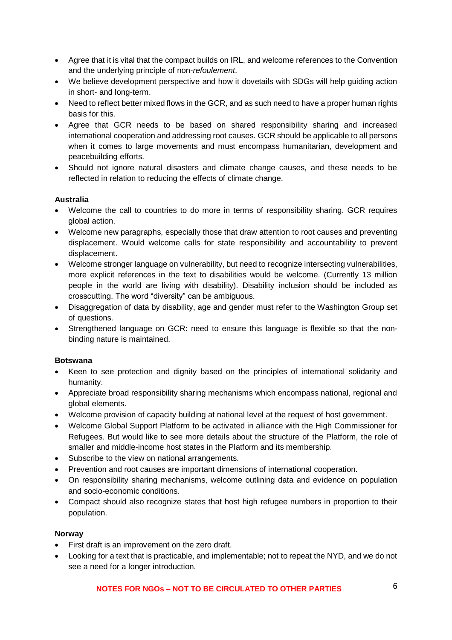- Agree that it is vital that the compact builds on IRL, and welcome references to the Convention and the underlying principle of non-*refoulement*.
- We believe development perspective and how it dovetails with SDGs will help guiding action in short- and long-term.
- Need to reflect better mixed flows in the GCR, and as such need to have a proper human rights basis for this.
- Agree that GCR needs to be based on shared responsibility sharing and increased international cooperation and addressing root causes. GCR should be applicable to all persons when it comes to large movements and must encompass humanitarian, development and peacebuilding efforts.
- Should not ignore natural disasters and climate change causes, and these needs to be reflected in relation to reducing the effects of climate change.

### **Australia**

- Welcome the call to countries to do more in terms of responsibility sharing. GCR requires global action.
- Welcome new paragraphs, especially those that draw attention to root causes and preventing displacement. Would welcome calls for state responsibility and accountability to prevent displacement.
- Welcome stronger language on vulnerability, but need to recognize intersecting vulnerabilities, more explicit references in the text to disabilities would be welcome. (Currently 13 million people in the world are living with disability). Disability inclusion should be included as crosscutting. The word "diversity" can be ambiguous.
- Disaggregation of data by disability, age and gender must refer to the Washington Group set of questions.
- Strengthened language on GCR: need to ensure this language is flexible so that the nonbinding nature is maintained.

#### **Botswana**

- Keen to see protection and dignity based on the principles of international solidarity and humanity.
- Appreciate broad responsibility sharing mechanisms which encompass national, regional and global elements.
- Welcome provision of capacity building at national level at the request of host government.
- Welcome Global Support Platform to be activated in alliance with the High Commissioner for Refugees. But would like to see more details about the structure of the Platform, the role of smaller and middle-income host states in the Platform and its membership.
- Subscribe to the view on national arrangements.
- Prevention and root causes are important dimensions of international cooperation.
- On responsibility sharing mechanisms, welcome outlining data and evidence on population and socio-economic conditions.
- Compact should also recognize states that host high refugee numbers in proportion to their population.

#### **Norway**

- First draft is an improvement on the zero draft.
- Looking for a text that is practicable, and implementable; not to repeat the NYD, and we do not see a need for a longer introduction.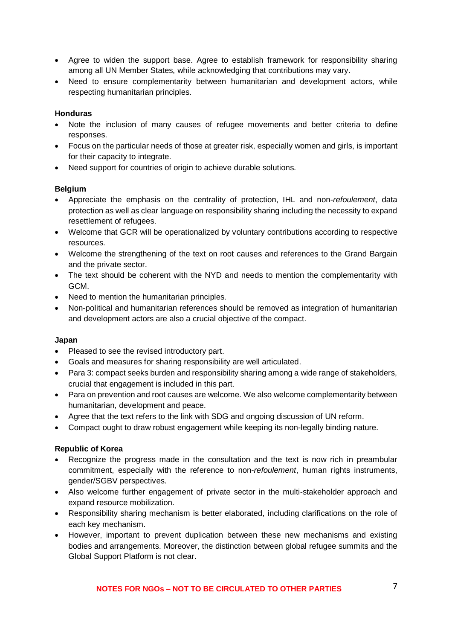- Agree to widen the support base. Agree to establish framework for responsibility sharing among all UN Member States, while acknowledging that contributions may vary.
- Need to ensure complementarity between humanitarian and development actors, while respecting humanitarian principles.

#### **Honduras**

- Note the inclusion of many causes of refugee movements and better criteria to define responses.
- Focus on the particular needs of those at greater risk, especially women and girls, is important for their capacity to integrate.
- Need support for countries of origin to achieve durable solutions.

#### **Belgium**

- Appreciate the emphasis on the centrality of protection, IHL and non-*refoulement*, data protection as well as clear language on responsibility sharing including the necessity to expand resettlement of refugees.
- Welcome that GCR will be operationalized by voluntary contributions according to respective resources.
- Welcome the strengthening of the text on root causes and references to the Grand Bargain and the private sector.
- The text should be coherent with the NYD and needs to mention the complementarity with GCM.
- Need to mention the humanitarian principles.
- Non-political and humanitarian references should be removed as integration of humanitarian and development actors are also a crucial objective of the compact.

#### **Japan**

- Pleased to see the revised introductory part.
- Goals and measures for sharing responsibility are well articulated.
- Para 3: compact seeks burden and responsibility sharing among a wide range of stakeholders, crucial that engagement is included in this part.
- Para on prevention and root causes are welcome. We also welcome complementarity between humanitarian, development and peace.
- Agree that the text refers to the link with SDG and ongoing discussion of UN reform.
- Compact ought to draw robust engagement while keeping its non-legally binding nature.

#### **Republic of Korea**

- Recognize the progress made in the consultation and the text is now rich in preambular commitment, especially with the reference to non-*refoulement*, human rights instruments, gender/SGBV perspectives.
- Also welcome further engagement of private sector in the multi-stakeholder approach and expand resource mobilization.
- Responsibility sharing mechanism is better elaborated, including clarifications on the role of each key mechanism.
- However, important to prevent duplication between these new mechanisms and existing bodies and arrangements. Moreover, the distinction between global refugee summits and the Global Support Platform is not clear.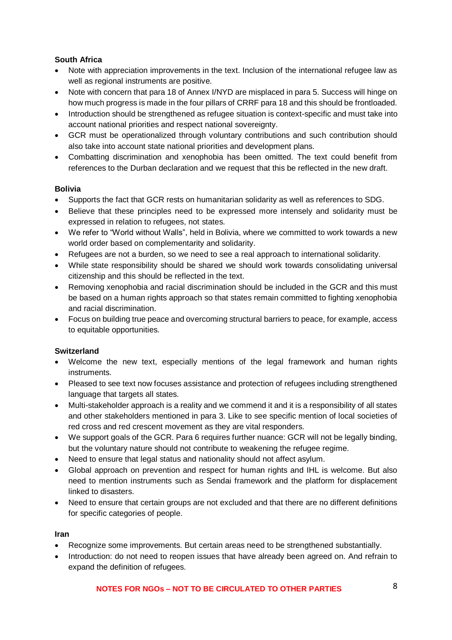# **South Africa**

- Note with appreciation improvements in the text. Inclusion of the international refugee law as well as regional instruments are positive.
- Note with concern that para 18 of Annex I/NYD are misplaced in para 5. Success will hinge on how much progress is made in the four pillars of CRRF para 18 and this should be frontloaded.
- Introduction should be strengthened as refugee situation is context-specific and must take into account national priorities and respect national sovereignty.
- GCR must be operationalized through voluntary contributions and such contribution should also take into account state national priorities and development plans.
- Combatting discrimination and xenophobia has been omitted. The text could benefit from references to the Durban declaration and we request that this be reflected in the new draft.

#### **Bolivia**

- Supports the fact that GCR rests on humanitarian solidarity as well as references to SDG.
- Believe that these principles need to be expressed more intensely and solidarity must be expressed in relation to refugees, not states.
- We refer to "World without Walls", held in Bolivia, where we committed to work towards a new world order based on complementarity and solidarity.
- Refugees are not a burden, so we need to see a real approach to international solidarity.
- While state responsibility should be shared we should work towards consolidating universal citizenship and this should be reflected in the text.
- Removing xenophobia and racial discrimination should be included in the GCR and this must be based on a human rights approach so that states remain committed to fighting xenophobia and racial discrimination.
- Focus on building true peace and overcoming structural barriers to peace, for example, access to equitable opportunities.

#### **Switzerland**

- Welcome the new text, especially mentions of the legal framework and human rights instruments.
- Pleased to see text now focuses assistance and protection of refugees including strengthened language that targets all states.
- Multi-stakeholder approach is a reality and we commend it and it is a responsibility of all states and other stakeholders mentioned in para 3. Like to see specific mention of local societies of red cross and red crescent movement as they are vital responders.
- We support goals of the GCR, Para 6 requires further nuance: GCR will not be legally binding. but the voluntary nature should not contribute to weakening the refugee regime.
- Need to ensure that legal status and nationality should not affect asylum.
- Global approach on prevention and respect for human rights and IHL is welcome. But also need to mention instruments such as Sendai framework and the platform for displacement linked to disasters.
- Need to ensure that certain groups are not excluded and that there are no different definitions for specific categories of people.

#### **Iran**

- Recognize some improvements. But certain areas need to be strengthened substantially.
- Introduction: do not need to reopen issues that have already been agreed on. And refrain to expand the definition of refugees.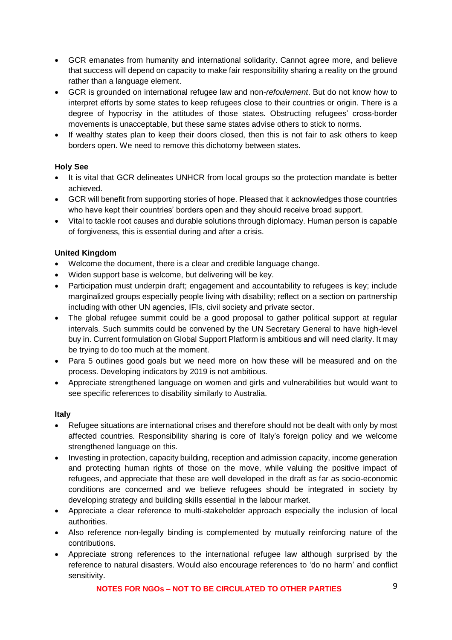- GCR emanates from humanity and international solidarity. Cannot agree more, and believe that success will depend on capacity to make fair responsibility sharing a reality on the ground rather than a language element.
- GCR is grounded on international refugee law and non-*refoulement*. But do not know how to interpret efforts by some states to keep refugees close to their countries or origin. There is a degree of hypocrisy in the attitudes of those states. Obstructing refugees' cross-border movements is unacceptable, but these same states advise others to stick to norms.
- If wealthy states plan to keep their doors closed, then this is not fair to ask others to keep borders open. We need to remove this dichotomy between states.

### **Holy See**

- It is vital that GCR delineates UNHCR from local groups so the protection mandate is better achieved.
- GCR will benefit from supporting stories of hope. Pleased that it acknowledges those countries who have kept their countries' borders open and they should receive broad support.
- Vital to tackle root causes and durable solutions through diplomacy. Human person is capable of forgiveness, this is essential during and after a crisis.

### **United Kingdom**

- Welcome the document, there is a clear and credible language change.
- Widen support base is welcome, but delivering will be key.
- Participation must underpin draft; engagement and accountability to refugees is key; include marginalized groups especially people living with disability; reflect on a section on partnership including with other UN agencies, IFIs, civil society and private sector.
- The global refugee summit could be a good proposal to gather political support at regular intervals. Such summits could be convened by the UN Secretary General to have high-level buy in. Current formulation on Global Support Platform is ambitious and will need clarity. It may be trying to do too much at the moment.
- Para 5 outlines good goals but we need more on how these will be measured and on the process. Developing indicators by 2019 is not ambitious.
- Appreciate strengthened language on women and girls and vulnerabilities but would want to see specific references to disability similarly to Australia.

#### **Italy**

- Refugee situations are international crises and therefore should not be dealt with only by most affected countries. Responsibility sharing is core of Italy's foreign policy and we welcome strengthened language on this.
- Investing in protection, capacity building, reception and admission capacity, income generation and protecting human rights of those on the move, while valuing the positive impact of refugees, and appreciate that these are well developed in the draft as far as socio-economic conditions are concerned and we believe refugees should be integrated in society by developing strategy and building skills essential in the labour market.
- Appreciate a clear reference to multi-stakeholder approach especially the inclusion of local authorities.
- Also reference non-legally binding is complemented by mutually reinforcing nature of the contributions.
- Appreciate strong references to the international refugee law although surprised by the reference to natural disasters. Would also encourage references to 'do no harm' and conflict sensitivity.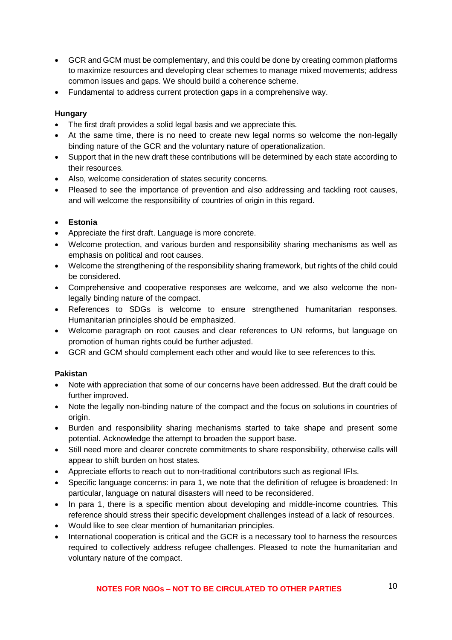- GCR and GCM must be complementary, and this could be done by creating common platforms to maximize resources and developing clear schemes to manage mixed movements; address common issues and gaps. We should build a coherence scheme.
- Fundamental to address current protection gaps in a comprehensive way.

#### **Hungary**

- The first draft provides a solid legal basis and we appreciate this.
- At the same time, there is no need to create new legal norms so welcome the non-legally binding nature of the GCR and the voluntary nature of operationalization.
- Support that in the new draft these contributions will be determined by each state according to their resources.
- Also, welcome consideration of states security concerns.
- Pleased to see the importance of prevention and also addressing and tackling root causes, and will welcome the responsibility of countries of origin in this regard.

### • **Estonia**

- Appreciate the first draft. Language is more concrete.
- Welcome protection, and various burden and responsibility sharing mechanisms as well as emphasis on political and root causes.
- Welcome the strengthening of the responsibility sharing framework, but rights of the child could be considered.
- Comprehensive and cooperative responses are welcome, and we also welcome the nonlegally binding nature of the compact.
- References to SDGs is welcome to ensure strengthened humanitarian responses. Humanitarian principles should be emphasized.
- Welcome paragraph on root causes and clear references to UN reforms, but language on promotion of human rights could be further adjusted.
- GCR and GCM should complement each other and would like to see references to this.

#### **Pakistan**

- Note with appreciation that some of our concerns have been addressed. But the draft could be further improved.
- Note the legally non-binding nature of the compact and the focus on solutions in countries of origin.
- Burden and responsibility sharing mechanisms started to take shape and present some potential. Acknowledge the attempt to broaden the support base.
- Still need more and clearer concrete commitments to share responsibility, otherwise calls will appear to shift burden on host states.
- Appreciate efforts to reach out to non-traditional contributors such as regional IFIs.
- Specific language concerns: in para 1, we note that the definition of refugee is broadened: In particular, language on natural disasters will need to be reconsidered.
- In para 1, there is a specific mention about developing and middle-income countries. This reference should stress their specific development challenges instead of a lack of resources.
- Would like to see clear mention of humanitarian principles.
- International cooperation is critical and the GCR is a necessary tool to harness the resources required to collectively address refugee challenges. Pleased to note the humanitarian and voluntary nature of the compact.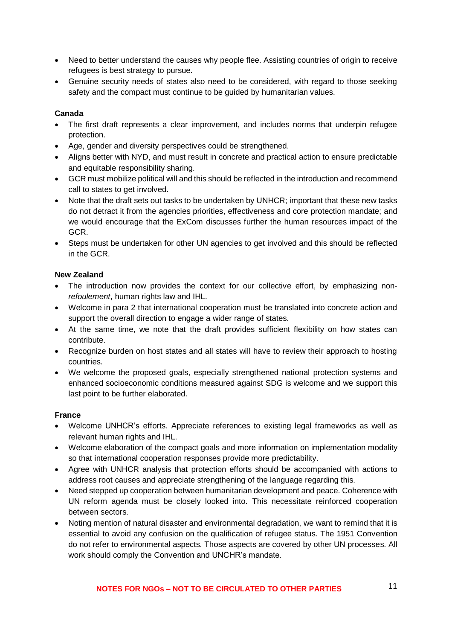- Need to better understand the causes why people flee. Assisting countries of origin to receive refugees is best strategy to pursue.
- Genuine security needs of states also need to be considered, with regard to those seeking safety and the compact must continue to be guided by humanitarian values.

#### **Canada**

- The first draft represents a clear improvement, and includes norms that underpin refugee protection.
- Age, gender and diversity perspectives could be strengthened.
- Aligns better with NYD, and must result in concrete and practical action to ensure predictable and equitable responsibility sharing.
- GCR must mobilize political will and this should be reflected in the introduction and recommend call to states to get involved.
- Note that the draft sets out tasks to be undertaken by UNHCR; important that these new tasks do not detract it from the agencies priorities, effectiveness and core protection mandate; and we would encourage that the ExCom discusses further the human resources impact of the GCR.
- Steps must be undertaken for other UN agencies to get involved and this should be reflected in the GCR.

#### **New Zealand**

- The introduction now provides the context for our collective effort, by emphasizing non*refoulement*, human rights law and IHL.
- Welcome in para 2 that international cooperation must be translated into concrete action and support the overall direction to engage a wider range of states.
- At the same time, we note that the draft provides sufficient flexibility on how states can contribute.
- Recognize burden on host states and all states will have to review their approach to hosting countries.
- We welcome the proposed goals, especially strengthened national protection systems and enhanced socioeconomic conditions measured against SDG is welcome and we support this last point to be further elaborated.

#### **France**

- Welcome UNHCR's efforts. Appreciate references to existing legal frameworks as well as relevant human rights and IHL.
- Welcome elaboration of the compact goals and more information on implementation modality so that international cooperation responses provide more predictability.
- Agree with UNHCR analysis that protection efforts should be accompanied with actions to address root causes and appreciate strengthening of the language regarding this.
- Need stepped up cooperation between humanitarian development and peace. Coherence with UN reform agenda must be closely looked into. This necessitate reinforced cooperation between sectors.
- Noting mention of natural disaster and environmental degradation, we want to remind that it is essential to avoid any confusion on the qualification of refugee status. The 1951 Convention do not refer to environmental aspects. Those aspects are covered by other UN processes. All work should comply the Convention and UNCHR's mandate.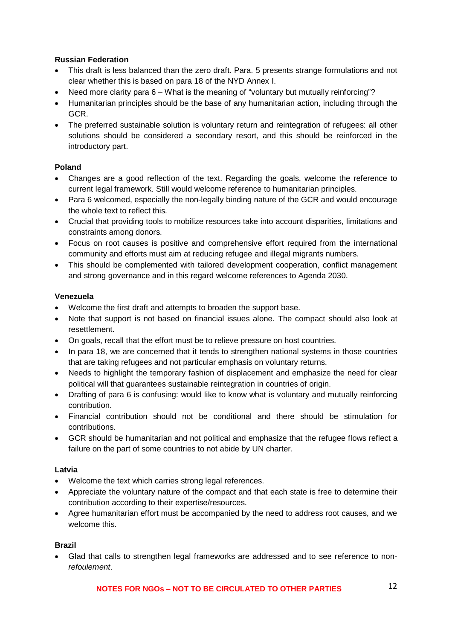### **Russian Federation**

- This draft is less balanced than the zero draft. Para. 5 presents strange formulations and not clear whether this is based on para 18 of the NYD Annex I.
- Need more clarity para 6 What is the meaning of "voluntary but mutually reinforcing"?
- Humanitarian principles should be the base of any humanitarian action, including through the GCR.
- The preferred sustainable solution is voluntary return and reintegration of refugees: all other solutions should be considered a secondary resort, and this should be reinforced in the introductory part.

### **Poland**

- Changes are a good reflection of the text. Regarding the goals, welcome the reference to current legal framework. Still would welcome reference to humanitarian principles.
- Para 6 welcomed, especially the non-legally binding nature of the GCR and would encourage the whole text to reflect this.
- Crucial that providing tools to mobilize resources take into account disparities, limitations and constraints among donors.
- Focus on root causes is positive and comprehensive effort required from the international community and efforts must aim at reducing refugee and illegal migrants numbers.
- This should be complemented with tailored development cooperation, conflict management and strong governance and in this regard welcome references to Agenda 2030.

#### **Venezuela**

- Welcome the first draft and attempts to broaden the support base.
- Note that support is not based on financial issues alone. The compact should also look at resettlement.
- On goals, recall that the effort must be to relieve pressure on host countries.
- In para 18, we are concerned that it tends to strengthen national systems in those countries that are taking refugees and not particular emphasis on voluntary returns.
- Needs to highlight the temporary fashion of displacement and emphasize the need for clear political will that guarantees sustainable reintegration in countries of origin.
- Drafting of para 6 is confusing: would like to know what is voluntary and mutually reinforcing contribution.
- Financial contribution should not be conditional and there should be stimulation for contributions.
- GCR should be humanitarian and not political and emphasize that the refugee flows reflect a failure on the part of some countries to not abide by UN charter.

#### **Latvia**

- Welcome the text which carries strong legal references.
- Appreciate the voluntary nature of the compact and that each state is free to determine their contribution according to their expertise/resources.
- Agree humanitarian effort must be accompanied by the need to address root causes, and we welcome this.

#### **Brazil**

• Glad that calls to strengthen legal frameworks are addressed and to see reference to non*refoulement*.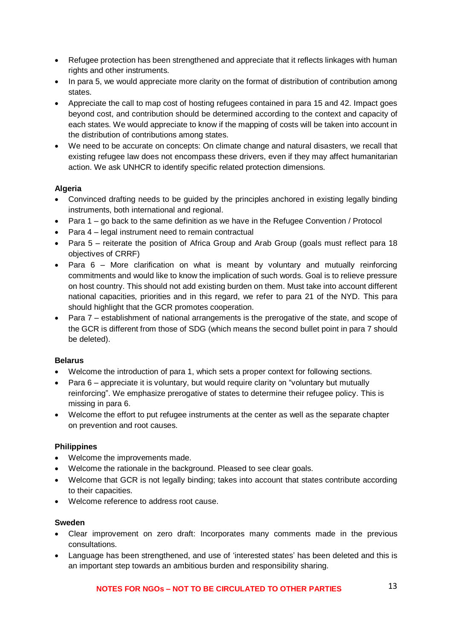- Refugee protection has been strengthened and appreciate that it reflects linkages with human rights and other instruments.
- In para 5, we would appreciate more clarity on the format of distribution of contribution among states.
- Appreciate the call to map cost of hosting refugees contained in para 15 and 42. Impact goes beyond cost, and contribution should be determined according to the context and capacity of each states. We would appreciate to know if the mapping of costs will be taken into account in the distribution of contributions among states.
- We need to be accurate on concepts: On climate change and natural disasters, we recall that existing refugee law does not encompass these drivers, even if they may affect humanitarian action. We ask UNHCR to identify specific related protection dimensions.

#### **Algeria**

- Convinced drafting needs to be guided by the principles anchored in existing legally binding instruments, both international and regional.
- Para 1 go back to the same definition as we have in the Refugee Convention / Protocol
- Para 4 legal instrument need to remain contractual
- Para 5 reiterate the position of Africa Group and Arab Group (goals must reflect para 18 objectives of CRRF)
- Para 6 More clarification on what is meant by voluntary and mutually reinforcing commitments and would like to know the implication of such words. Goal is to relieve pressure on host country. This should not add existing burden on them. Must take into account different national capacities, priorities and in this regard, we refer to para 21 of the NYD. This para should highlight that the GCR promotes cooperation.
- Para 7 establishment of national arrangements is the prerogative of the state, and scope of the GCR is different from those of SDG (which means the second bullet point in para 7 should be deleted).

#### **Belarus**

- Welcome the introduction of para 1, which sets a proper context for following sections.
- Para 6 appreciate it is voluntary, but would require clarity on "voluntary but mutually reinforcing". We emphasize prerogative of states to determine their refugee policy. This is missing in para 6.
- Welcome the effort to put refugee instruments at the center as well as the separate chapter on prevention and root causes.

#### **Philippines**

- Welcome the improvements made.
- Welcome the rationale in the background. Pleased to see clear goals.
- Welcome that GCR is not legally binding; takes into account that states contribute according to their capacities.
- Welcome reference to address root cause.

#### **Sweden**

- Clear improvement on zero draft: Incorporates many comments made in the previous consultations.
- Language has been strengthened, and use of 'interested states' has been deleted and this is an important step towards an ambitious burden and responsibility sharing.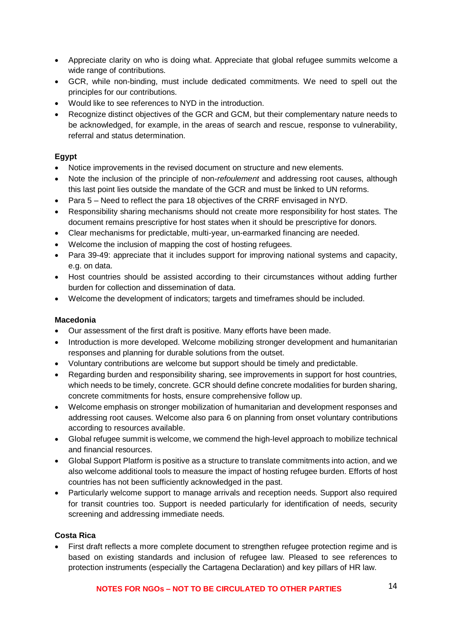- Appreciate clarity on who is doing what. Appreciate that global refugee summits welcome a wide range of contributions.
- GCR, while non-binding, must include dedicated commitments. We need to spell out the principles for our contributions.
- Would like to see references to NYD in the introduction.
- Recognize distinct objectives of the GCR and GCM, but their complementary nature needs to be acknowledged, for example, in the areas of search and rescue, response to vulnerability, referral and status determination.

#### **Egypt**

- Notice improvements in the revised document on structure and new elements.
- Note the inclusion of the principle of non-*refoulement* and addressing root causes, although this last point lies outside the mandate of the GCR and must be linked to UN reforms.
- Para 5 Need to reflect the para 18 objectives of the CRRF envisaged in NYD.
- Responsibility sharing mechanisms should not create more responsibility for host states. The document remains prescriptive for host states when it should be prescriptive for donors.
- Clear mechanisms for predictable, multi-year, un-earmarked financing are needed.
- Welcome the inclusion of mapping the cost of hosting refugees.
- Para 39-49: appreciate that it includes support for improving national systems and capacity, e.g. on data.
- Host countries should be assisted according to their circumstances without adding further burden for collection and dissemination of data.
- Welcome the development of indicators; targets and timeframes should be included.

#### **Macedonia**

- Our assessment of the first draft is positive. Many efforts have been made.
- Introduction is more developed. Welcome mobilizing stronger development and humanitarian responses and planning for durable solutions from the outset.
- Voluntary contributions are welcome but support should be timely and predictable.
- Regarding burden and responsibility sharing, see improvements in support for host countries, which needs to be timely, concrete. GCR should define concrete modalities for burden sharing, concrete commitments for hosts, ensure comprehensive follow up.
- Welcome emphasis on stronger mobilization of humanitarian and development responses and addressing root causes. Welcome also para 6 on planning from onset voluntary contributions according to resources available.
- Global refugee summit is welcome, we commend the high-level approach to mobilize technical and financial resources.
- Global Support Platform is positive as a structure to translate commitments into action, and we also welcome additional tools to measure the impact of hosting refugee burden. Efforts of host countries has not been sufficiently acknowledged in the past.
- Particularly welcome support to manage arrivals and reception needs. Support also required for transit countries too. Support is needed particularly for identification of needs, security screening and addressing immediate needs.

#### **Costa Rica**

• First draft reflects a more complete document to strengthen refugee protection regime and is based on existing standards and inclusion of refugee law. Pleased to see references to protection instruments (especially the Cartagena Declaration) and key pillars of HR law.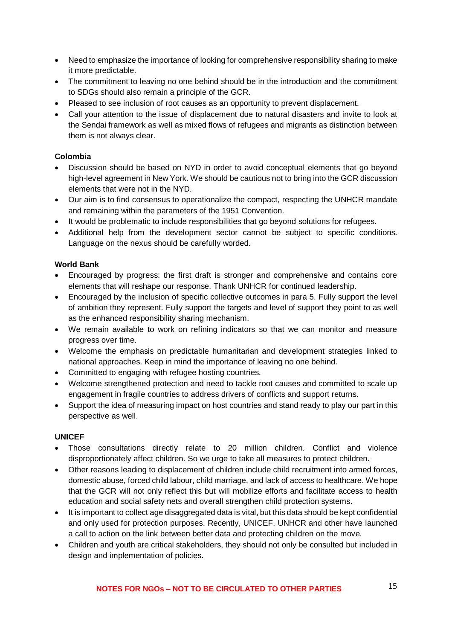- Need to emphasize the importance of looking for comprehensive responsibility sharing to make it more predictable.
- The commitment to leaving no one behind should be in the introduction and the commitment to SDGs should also remain a principle of the GCR.
- Pleased to see inclusion of root causes as an opportunity to prevent displacement.
- Call your attention to the issue of displacement due to natural disasters and invite to look at the Sendai framework as well as mixed flows of refugees and migrants as distinction between them is not always clear.

#### **Colombia**

- Discussion should be based on NYD in order to avoid conceptual elements that go beyond high-level agreement in New York. We should be cautious not to bring into the GCR discussion elements that were not in the NYD.
- Our aim is to find consensus to operationalize the compact, respecting the UNHCR mandate and remaining within the parameters of the 1951 Convention.
- It would be problematic to include responsibilities that go beyond solutions for refugees.
- Additional help from the development sector cannot be subject to specific conditions. Language on the nexus should be carefully worded.

#### **World Bank**

- Encouraged by progress: the first draft is stronger and comprehensive and contains core elements that will reshape our response. Thank UNHCR for continued leadership.
- Encouraged by the inclusion of specific collective outcomes in para 5. Fully support the level of ambition they represent. Fully support the targets and level of support they point to as well as the enhanced responsibility sharing mechanism.
- We remain available to work on refining indicators so that we can monitor and measure progress over time.
- Welcome the emphasis on predictable humanitarian and development strategies linked to national approaches. Keep in mind the importance of leaving no one behind.
- Committed to engaging with refugee hosting countries.
- Welcome strengthened protection and need to tackle root causes and committed to scale up engagement in fragile countries to address drivers of conflicts and support returns.
- Support the idea of measuring impact on host countries and stand ready to play our part in this perspective as well.

#### **UNICEF**

- Those consultations directly relate to 20 million children. Conflict and violence disproportionately affect children. So we urge to take all measures to protect children.
- Other reasons leading to displacement of children include child recruitment into armed forces, domestic abuse, forced child labour, child marriage, and lack of access to healthcare. We hope that the GCR will not only reflect this but will mobilize efforts and facilitate access to health education and social safety nets and overall strengthen child protection systems.
- It is important to collect age disaggregated data is vital, but this data should be kept confidential and only used for protection purposes. Recently, UNICEF, UNHCR and other have launched a call to action on the link between better data and protecting children on the move.
- Children and youth are critical stakeholders, they should not only be consulted but included in design and implementation of policies.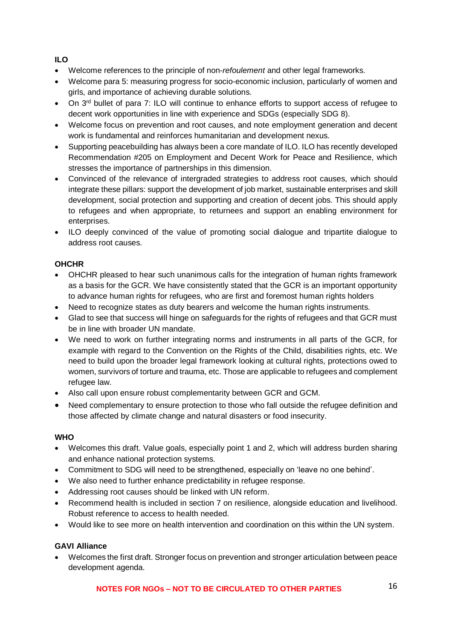# **ILO**

- Welcome references to the principle of non-*refoulement* and other legal frameworks.
- Welcome para 5: measuring progress for socio-economic inclusion, particularly of women and girls, and importance of achieving durable solutions.
- On 3<sup>rd</sup> bullet of para 7: ILO will continue to enhance efforts to support access of refugee to decent work opportunities in line with experience and SDGs (especially SDG 8).
- Welcome focus on prevention and root causes, and note employment generation and decent work is fundamental and reinforces humanitarian and development nexus.
- Supporting peacebuilding has always been a core mandate of ILO. ILO has recently developed Recommendation #205 on Employment and Decent Work for Peace and Resilience, which stresses the importance of partnerships in this dimension.
- Convinced of the relevance of intergraded strategies to address root causes, which should integrate these pillars: support the development of job market, sustainable enterprises and skill development, social protection and supporting and creation of decent jobs. This should apply to refugees and when appropriate, to returnees and support an enabling environment for enterprises.
- ILO deeply convinced of the value of promoting social dialogue and tripartite dialogue to address root causes.

# **OHCHR**

- OHCHR pleased to hear such unanimous calls for the integration of human rights framework as a basis for the GCR. We have consistently stated that the GCR is an important opportunity to advance human rights for refugees, who are first and foremost human rights holders
- Need to recognize states as duty bearers and welcome the human rights instruments.
- Glad to see that success will hinge on safeguards for the rights of refugees and that GCR must be in line with broader UN mandate.
- We need to work on further integrating norms and instruments in all parts of the GCR, for example with regard to the Convention on the Rights of the Child, disabilities rights, etc. We need to build upon the broader legal framework looking at cultural rights, protections owed to women, survivors of torture and trauma, etc. Those are applicable to refugees and complement refugee law.
- Also call upon ensure robust complementarity between GCR and GCM.
- Need complementary to ensure protection to those who fall outside the refugee definition and those affected by climate change and natural disasters or food insecurity.

# **WHO**

- Welcomes this draft. Value goals, especially point 1 and 2, which will address burden sharing and enhance national protection systems.
- Commitment to SDG will need to be strengthened, especially on 'leave no one behind'.
- We also need to further enhance predictability in refugee response.
- Addressing root causes should be linked with UN reform.
- Recommend health is included in section 7 on resilience, alongside education and livelihood. Robust reference to access to health needed.
- Would like to see more on health intervention and coordination on this within the UN system.

# **GAVI Alliance**

• Welcomes the first draft. Stronger focus on prevention and stronger articulation between peace development agenda.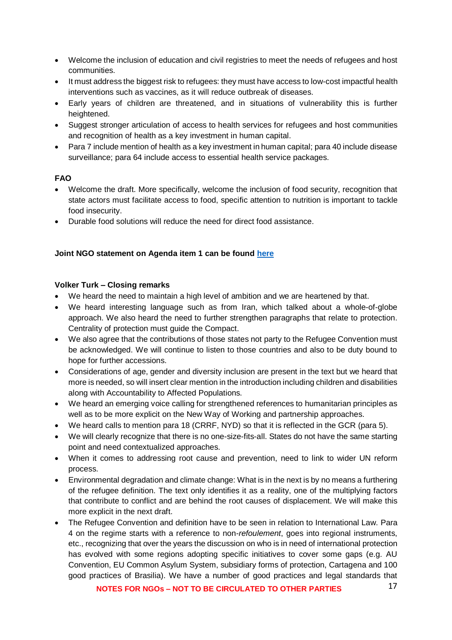- Welcome the inclusion of education and civil registries to meet the needs of refugees and host communities.
- It must address the biggest risk to refugees: they must have access to low-cost impactful health interventions such as vaccines, as it will reduce outbreak of diseases.
- Early years of children are threatened, and in situations of vulnerability this is further heightened.
- Suggest stronger articulation of access to health services for refugees and host communities and recognition of health as a key investment in human capital.
- Para 7 include mention of health as a key investment in human capital; para 40 include disease surveillance; para 64 include access to essential health service packages.

#### **FAO**

- Welcome the draft. More specifically, welcome the inclusion of food security, recognition that state actors must facilitate access to food, specific attention to nutrition is important to tackle food insecurity.
- Durable food solutions will reduce the need for direct food assistance.

#### **Joint NGO statement on Agenda item 1 can be found [here](https://www.icvanetwork.org/system/files/versions/March%20Consultations-Agenda%20Item%201%20ORAL%20FINAL.pdf)**

#### **Volker Turk – Closing remarks**

- We heard the need to maintain a high level of ambition and we are heartened by that.
- We heard interesting language such as from Iran, which talked about a whole-of-globe approach. We also heard the need to further strengthen paragraphs that relate to protection. Centrality of protection must guide the Compact.
- We also agree that the contributions of those states not party to the Refugee Convention must be acknowledged. We will continue to listen to those countries and also to be duty bound to hope for further accessions.
- Considerations of age, gender and diversity inclusion are present in the text but we heard that more is needed, so will insert clear mention in the introduction including children and disabilities along with Accountability to Affected Populations.
- We heard an emerging voice calling for strengthened references to humanitarian principles as well as to be more explicit on the New Way of Working and partnership approaches.
- We heard calls to mention para 18 (CRRF, NYD) so that it is reflected in the GCR (para 5).
- We will clearly recognize that there is no one-size-fits-all. States do not have the same starting point and need contextualized approaches.
- When it comes to addressing root cause and prevention, need to link to wider UN reform process.
- Environmental degradation and climate change: What is in the next is by no means a furthering of the refugee definition. The text only identifies it as a reality, one of the multiplying factors that contribute to conflict and are behind the root causes of displacement. We will make this more explicit in the next draft.
- The Refugee Convention and definition have to be seen in relation to International Law. Para 4 on the regime starts with a reference to non-*refoulement*, goes into regional instruments, etc., recognizing that over the years the discussion on who is in need of international protection has evolved with some regions adopting specific initiatives to cover some gaps (e.g. AU Convention, EU Common Asylum System, subsidiary forms of protection, Cartagena and 100 good practices of Brasilia). We have a number of good practices and legal standards that